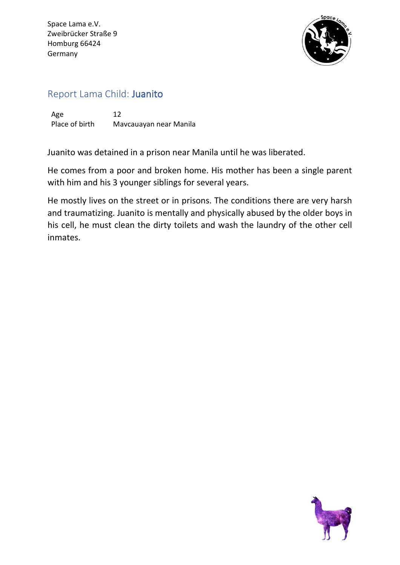Space Lama e.V. Zweibrücker Straße 9 Homburg 66424 Germany



## Report Lama Child: Juanito

Age 12 Place of birth Mavcauayan near Manila

Juanito was detained in a prison near Manila until he was liberated.

He comes from a poor and broken home. His mother has been a single parent with him and his 3 younger siblings for several years.

He mostly lives on the street or in prisons. The conditions there are very harsh and traumatizing. Juanito is mentally and physically abused by the older boys in his cell, he must clean the dirty toilets and wash the laundry of the other cell inmates.